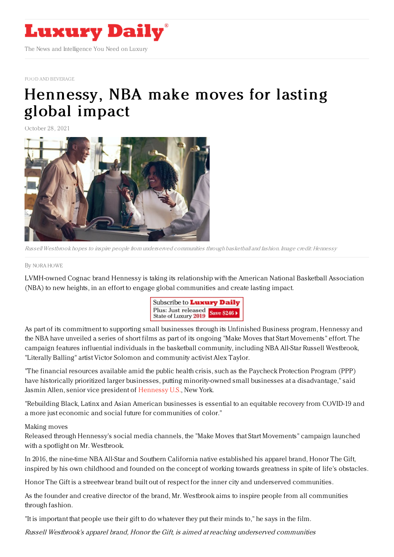

FOOD AND [BEVERAGE](https://www.luxurydaily.com/category/sectors/food-and-beverage/)

## [Hennessy,](https://www.luxurydaily.com/hennessy-nba-make-moves-for-lasting-global-impact/) NBA make moves for lasting global impact

October 28, 2021



Russell Westbrook hopes to inspire people from underserved communities through basketball and fashion. Image credit: Hennessy

By NORA [HOWE](file:///author/nora-howe)

LVMH-owned Cognac brand Hennessy is taking its relationship with the American National Basketball Association (NBA) to new heights, in an effort to engage global communities and create lasting impact.



As part of its commitment to supporting small businesses through its Unfinished Business program, Hennessy and the NBA have unveiled a series of short films as part of its ongoing "Make Moves that Start Movements" effort. The campaign features influential individuals in the basketball community, including NBA All-Star Russell Westbrook, "Literally Balling" artist Victor Solomon and community activist Alex Taylor.

"The financial resources available amid the public health crisis, such as the Paycheck Protection Program (PPP) have historically prioritized larger businesses, putting minority-owned small businesses at a disadvantage," said Jasmin Allen, senior vice president of [Hennessy](https://www.hennessy.com/en-us) U.S., New York.

"Rebuilding Black, Latinx and Asian American businesses is essential to an equitable recovery from COVID-19 and a more just economic and social future for communities of color."

## Making moves

Released through Hennessy's social media channels, the "Make Moves that Start Movements" campaign launched with a spotlight on Mr. Westbrook.

In 2016, the nine-time NBA All-Star and Southern California native established his apparel brand, Honor The Gift, inspired by his own childhood and founded on the concept of working towards greatness in spite of life's obstacles.

Honor The Gift is a streetwear brand built out of respect for the inner city and underserved communities.

As the founder and creative director of the brand, Mr. Westbrook aims to inspire people from all communities through fashion.

"It is important that people use their gift to do whatever they put their minds to," he says in the film.

Russell Westbrook's apparel brand, Honor the Gift, is aimed at reaching underserved communities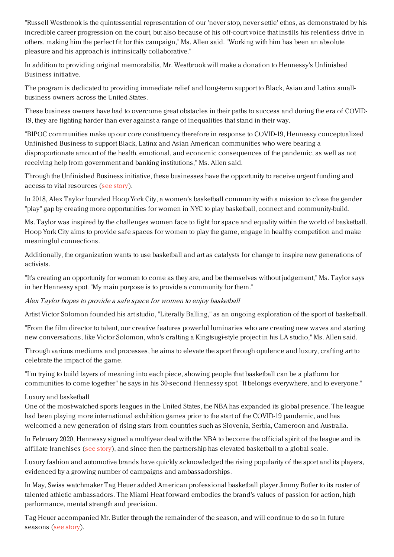"Russell Westbrook is the quintessential representation of our 'never stop, never settle' ethos, as demonstrated by his incredible career progression on the court, but also because of his off-court voice that instills his relentless drive in others, making him the perfect fit for this campaign," Ms. Allen said. "Working with him has been an absolute pleasure and his approach is intrinsically collaborative."

In addition to providing original memorabilia, Mr. Westbrook will make a donation to Hennessy's Unfinished Business initiative.

The program is dedicated to providing immediate relief and long-term support to Black, Asian and Latinx smallbusiness owners across the United States.

These business owners have had to overcome great obstacles in their paths to success and during the era of COVID-19, they are fighting harder than ever against a range of inequalities that stand in their way.

"BIPOC communities make up our core constituency therefore in response to COVID-19, Hennessy conceptualized Unfinished Business to support Black, Latinx and Asian American communities who were bearing a disproportionate amount of the health, emotional, and economic consequences of the pandemic, as well as not receiving help from government and banking institutions," Ms. Allen said.

Through the Unfinished Business initiative, these businesses have the opportunity to receive urgent funding and access to vital resources (see [story](https://www.luxurydaily.com/hennessy-lends-support-to-small-businesses-affected-by-the-pandemic/)).

In 2018, Alex Taylor founded Hoop York City, a women's basketball community with a mission to close the gender "play" gap by creating more opportunities for women in NYC to play basketball, connect and community-build.

Ms. Taylor was inspired by the challenges women face to fight for space and equality within the world of basketball. Hoop York City aims to provide safe spaces for women to play the game, engage in healthy competition and make meaningful connections.

Additionally, the organization wants to use basketball and art as catalysts for change to inspire new generations of activists.

"It's creating an opportunity for women to come as they are, and be themselves without judgement," Ms. Taylor says in her Hennessy spot. "My main purpose is to provide a community for them."

## Alex Taylor hopes to provide <sup>a</sup> safe space for women to enjoy basketball

Artist Victor Solomon founded his art studio, "Literally Balling," as an ongoing exploration of the sport of basketball.

"From the film director to talent, our creative features powerful luminaries who are creating new waves and starting new conversations, like Victor Solomon, who's crafting a Kingtsugi-style project in his LA studio," Ms. Allen said.

Through various mediums and processes, he aims to elevate the sport through opulence and luxury, crafting art to celebrate the impact of the game.

"I'm trying to build layers of meaning into each piece, showing people that basketball can be a platform for communities to come together" he says in his 30-second Hennessy spot. "It belongs everywhere, and to everyone."

## Luxury and basketball

One of the most-watched sports leagues in the United States, the NBA has expanded its global presence. The league had been playing more international exhibition games prior to the start of the COVID-19 pandemic, and has welcomed a new generation of rising stars from countries such as Slovenia, Serbia, Cameroon and Australia.

In February 2020, Hennessy signed a multiyear deal with the NBA to become the official spirit of the league and its affiliate franchises (see [story](https://www.luxurydaily.com/lvmhs-hennessy-cognac-signs-deal-to-become-official-spirits-partner-of-nba/)), and since then the partnership has elevated basketball to a global scale.

Luxury fashion and automotive brands have quickly acknowledged the rising popularity of the sport and its players, evidenced by a growing number of campaigns and ambassadorships.

In May, Swiss watchmaker Tag Heuer added American professional basketball player Jimmy Butler to its roster of talented athletic ambassadors. The Miami Heat forward embodies the brand's values of passion for action, high performance, mental strength and precision.

Tag Heuer accompanied Mr. Butler through the remainder of the season, and will continue to do so in future seasons (see [story](https://www.luxurydaily.com/tag-heuer-taps-nba-star-as-new-ambassador/)).